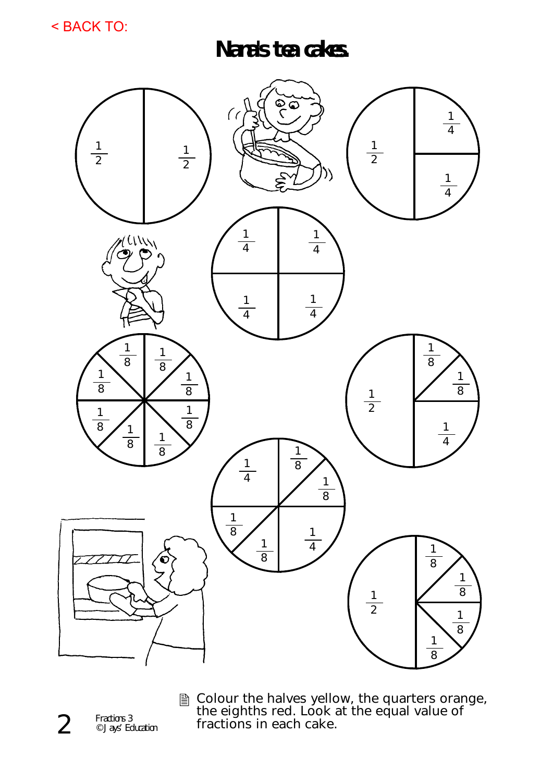< BACK TO:

**Nana's tea cakes.** 



**A** Colour the halves yellow, the quarters orange, the eighths red. Look at the equal value of fractions in each cake.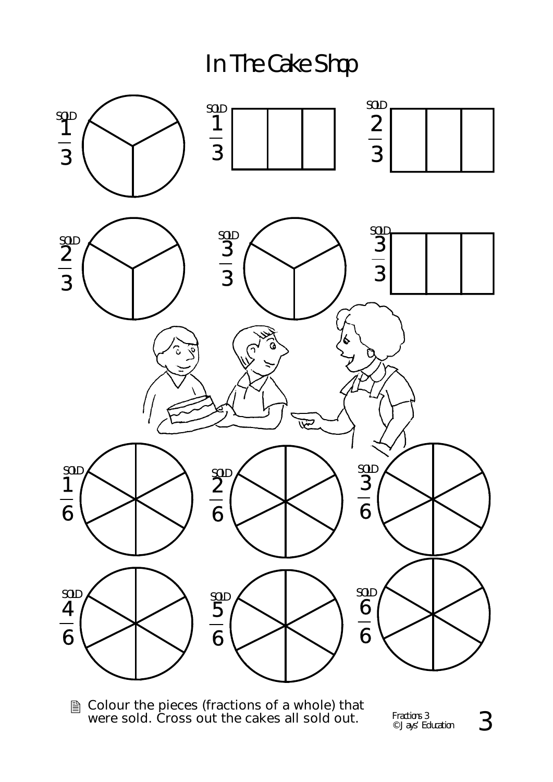In The Cake Shop



**■ Colour the pieces (fractions of a whole) that** were sold. Cross out the cakes all sold out.

Fractions 3  $_{\tiny{\textcircled{\tiny{3}}}$  Jays' Education  $_{\tiny{\textcircled{\tiny{3}}}}$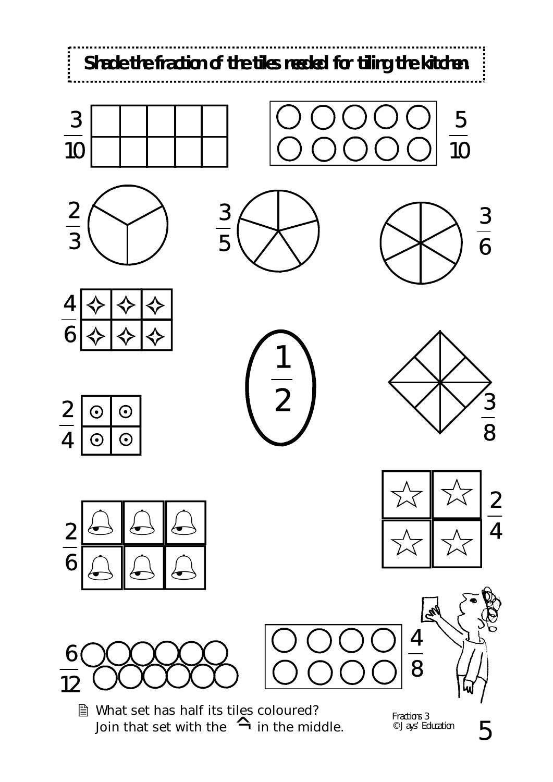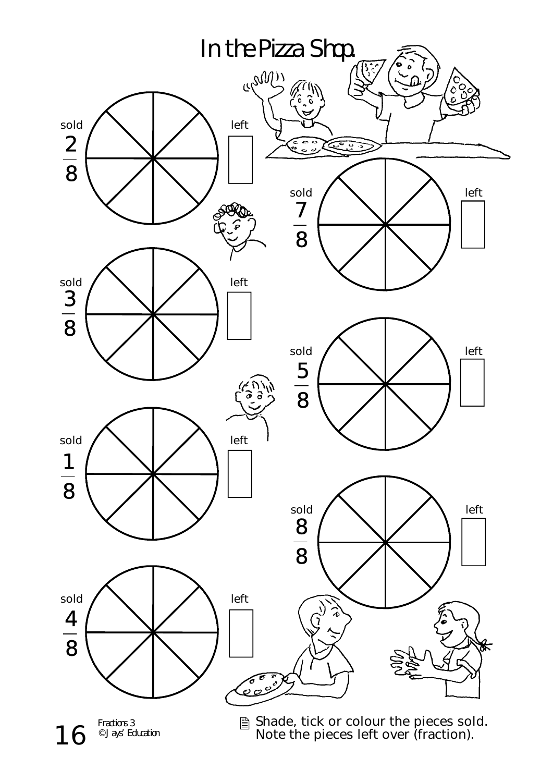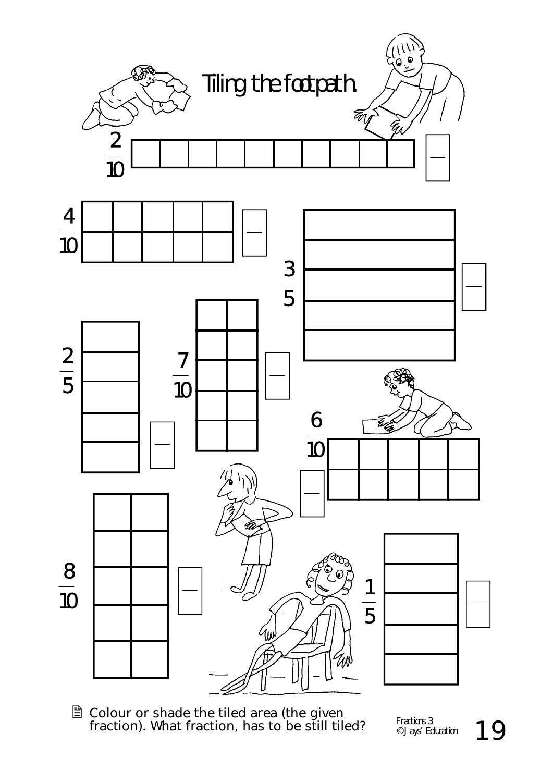

**A** Colour or shade the tiled area (the given fraction). What fraction, has to be still tiled?  $\qquad \qquad ^{\varepsilon}$   $\qquad \qquad ^{\varepsilon}$   $\qquad \qquad ^{\varepsilon}$   $\qquad \qquad ^{\varepsilon}$   $\qquad \qquad ^{\varepsilon}$   $\qquad \qquad ^{\varepsilon}$   $\qquad \qquad ^{\varepsilon}$   $\qquad \qquad ^{\varepsilon}$   $\qquad \qquad ^{\varepsilon}$   $\qquad \qquad ^{\varepsilon}$   $\qquad \qquad ^{\varepsilon}$ 

Fractions 3 © Jays' Education